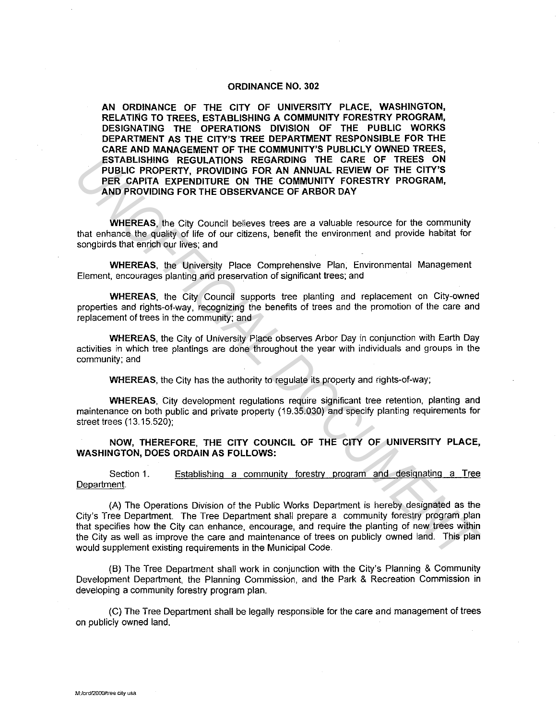## **ORDINANCE NO. 302**

**AN ORDINANCE OF THE CITY OF UNIVERSITY PLACE, WASHINGTON, RELATING TO TREES, ESTABLISHING A COMMUNITY FORESTRY PROGRAM, DESIGNATING THE OPERATIONS DIVISION OF THE PUBLIC WORKS DEPARTMENT AS THE CITY'S TREE DEPARTMENT RESPONSIBLE FOR THE CARE AND MANAGEMENT OF THE COMMUNITY'S PUBLICLY OWNED TREES, ESTABLISHING REGULATIONS REGARDING THE CARE OF TREES ON PUBLIC PROPERTY, PROVIDING FOR AN ANNUAL REVIEW OF THE CITY'S PER CAPITA EXPENDITURE ON THE COMMUNITY FORESTRY PROGRAM, AND PROVIDING FOR THE OBSERVANCE OF ARBOR DAY** 

**WHEREAS,** the City Council believes trees are a valuable resource for the community that enhance the quality of life of our citizens, benefit the environment and provide habitat for songbirds that enrich our lives; and

**WHEREAS,** the University Place Comprehensive Plan, Environmental Management Element, encourages planting and preservation of significant trees; and

**WHEREAS,** the City Council supports tree planting and replacement on City-owned properties and rights-of-way, recognizing the benefits of trees and the promotion of the care and replacement of trees in the community; and

**WHEREAS,** the City of University Place observes Arbor Day in conjunction with Earth Day activities in which tree plantings are done throughout the year with individuals and groups in the community; and

**WHEREAS,** the City has the authority to regulate its property and rights-of-way;

**WHEREAS,** City development regulations require significant tree retention, planting and maintenance on both public and private property (19.35.030) and specify planting requirements for street trees (13.15.520);

**NOW, THEREFORE, THE CITY COUNCIL OF THE CITY OF UNIVERSITY PLACE, WASHINGTON, DOES ORDAIN AS FOLLOWS:** 

Section 1. Establishing a community forestry program and designating a Tree Department.

(A) The Operations Division of the Public Works Department is hereby designated as the City's Tree Department. The Tree Department shall prepare a community forestry program plan that specifies how the City can enhance, encourage, and require the planting of new trees within the City as well as improve the care and maintenance of trees on publicly owned land. This plan would supplement existing requirements in the Municipal Code. **ESTABLISHING REGULATIONS REGARDING THE CARE OF TREES ON MUAL REVIEW OF THE CITY'S<br>
PUBLIC PROPERTY, PROVIDING FOR AN ANNUAL REVIEW OF THE CITY'S<br>
PER CAPITA EXPENDITURE ON THE COMMUNITY FORESTRY PROGRAM,<br>
AND PROVIDING RE** 

(B) The Tree Department shall work in conjunction with the City's Planning & Community Development Department, the Planning Commission, and the Park & Recreation Commission in developing a community forestry program plan.

(C) The Tree Department shall be legally responsible for the care and management of trees on publicly owned land.